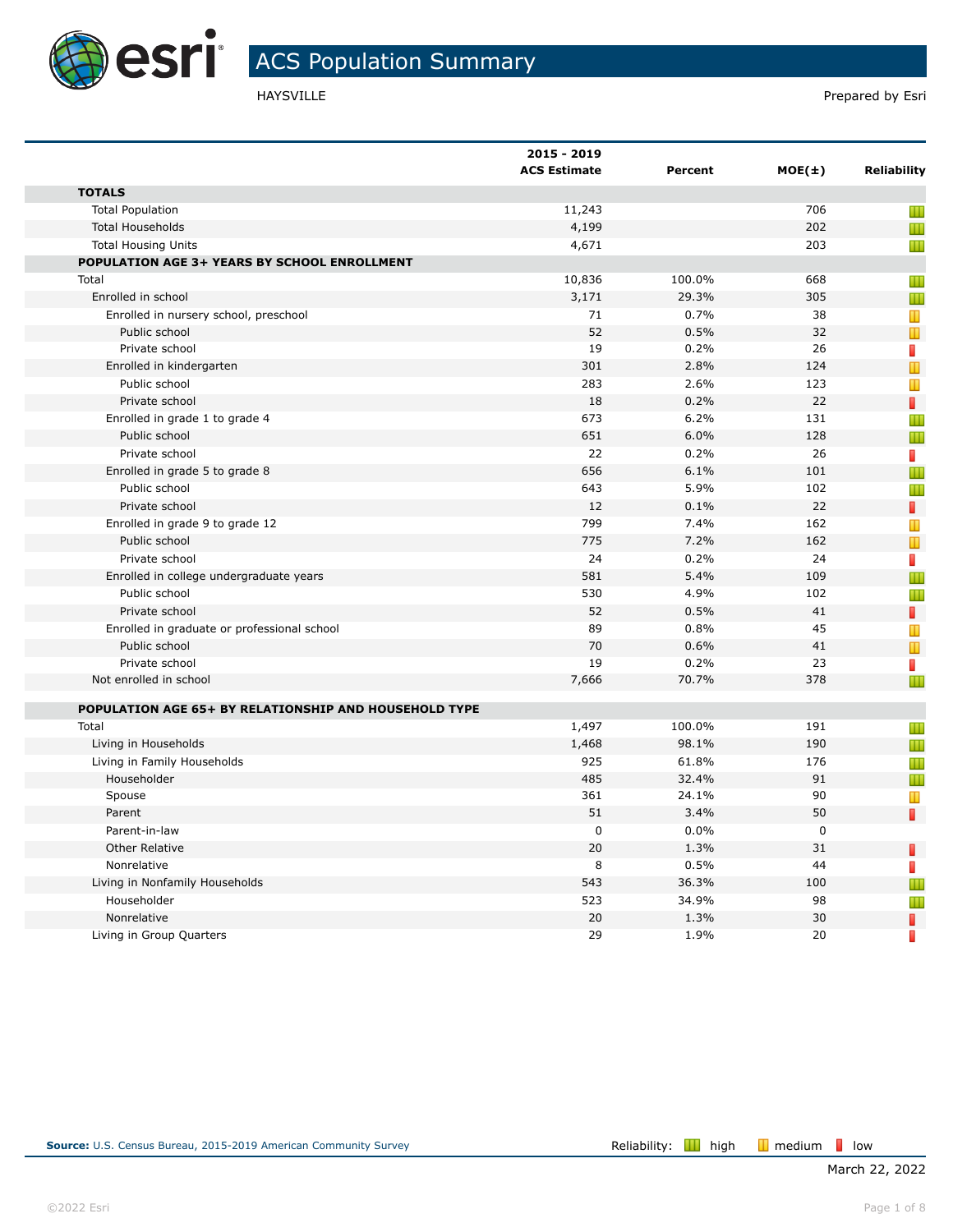

|                                                       | 2015 - 2019<br><b>ACS Estimate</b> | Percent | $MOE(\pm)$  | <b>Reliability</b>             |
|-------------------------------------------------------|------------------------------------|---------|-------------|--------------------------------|
| <b>TOTALS</b>                                         |                                    |         |             |                                |
| <b>Total Population</b>                               | 11,243                             |         | 706         | Ш                              |
| <b>Total Households</b>                               | 4,199                              |         | 202         | Ш                              |
| <b>Total Housing Units</b>                            | 4,671                              |         | 203         | Ш                              |
| POPULATION AGE 3+ YEARS BY SCHOOL ENROLLMENT          |                                    |         |             |                                |
| Total                                                 | 10,836                             | 100.0%  | 668         | Ш                              |
| Enrolled in school                                    | 3,171                              | 29.3%   | 305         | Ш                              |
| Enrolled in nursery school, preschool                 | 71                                 | 0.7%    | 38          | Т                              |
| Public school                                         | 52                                 | 0.5%    | 32          | $\mathbb T$                    |
| Private school                                        | 19                                 | 0.2%    | 26          | П                              |
| Enrolled in kindergarten                              | 301                                | 2.8%    | 124         | $\mathbf{\mathbf{\mathsf{u}}}$ |
| Public school                                         | 283                                | 2.6%    | 123         | Т                              |
| Private school                                        | 18                                 | 0.2%    | 22          | D                              |
| Enrolled in grade 1 to grade 4                        | 673                                | 6.2%    | 131         | Ш                              |
| Public school                                         | 651                                | 6.0%    | 128         | Ш                              |
| Private school                                        | 22                                 | 0.2%    | 26          | П                              |
| Enrolled in grade 5 to grade 8                        | 656                                | 6.1%    | 101         | Ш                              |
| Public school                                         | 643                                | 5.9%    | 102         | Ш                              |
| Private school                                        | 12                                 | 0.1%    | 22          | П                              |
| Enrolled in grade 9 to grade 12                       | 799                                | 7.4%    | 162         | Т                              |
| Public school                                         | 775                                | 7.2%    | 162         | $\mathbb T$                    |
| Private school                                        | 24                                 | 0.2%    | 24          | П                              |
| Enrolled in college undergraduate years               | 581                                | 5.4%    | 109         | Ш                              |
| Public school                                         | 530                                | 4.9%    | 102         | Ш                              |
| Private school                                        | 52                                 | 0.5%    | 41          | П                              |
| Enrolled in graduate or professional school           | 89                                 | 0.8%    | 45          | T                              |
| Public school                                         | 70                                 | 0.6%    | 41          | $\mathbf{\mathbf{\mathsf{u}}}$ |
| Private school                                        | 19                                 | 0.2%    | 23          | П                              |
| Not enrolled in school                                | 7,666                              | 70.7%   | 378         | Ш                              |
|                                                       |                                    |         |             |                                |
| POPULATION AGE 65+ BY RELATIONSHIP AND HOUSEHOLD TYPE |                                    |         |             |                                |
| Total                                                 | 1,497                              | 100.0%  | 191         | Ш                              |
| Living in Households                                  | 1,468                              | 98.1%   | 190         | Ш                              |
| Living in Family Households                           | 925                                | 61.8%   | 176         | Ш                              |
| Householder                                           | 485                                | 32.4%   | 91          | Ш                              |
| Spouse                                                | 361                                | 24.1%   | 90          | Т                              |
| Parent                                                | 51                                 | 3.4%    | 50          | П                              |
| Parent-in-law                                         | $\mathbf 0$                        | 0.0%    | $\mathbf 0$ |                                |
| <b>Other Relative</b>                                 | 20                                 | 1.3%    | 31          | П                              |
| Nonrelative                                           | 8                                  | 0.5%    | 44          | F                              |
| Living in Nonfamily Households                        | 543                                | 36.3%   | 100         | Ш                              |
| Householder                                           | 523                                | 34.9%   | 98          | Ш                              |
| Nonrelative                                           | 20                                 | 1.3%    | 30          | П                              |
| Living in Group Quarters                              | 29                                 | 1.9%    | 20          | П                              |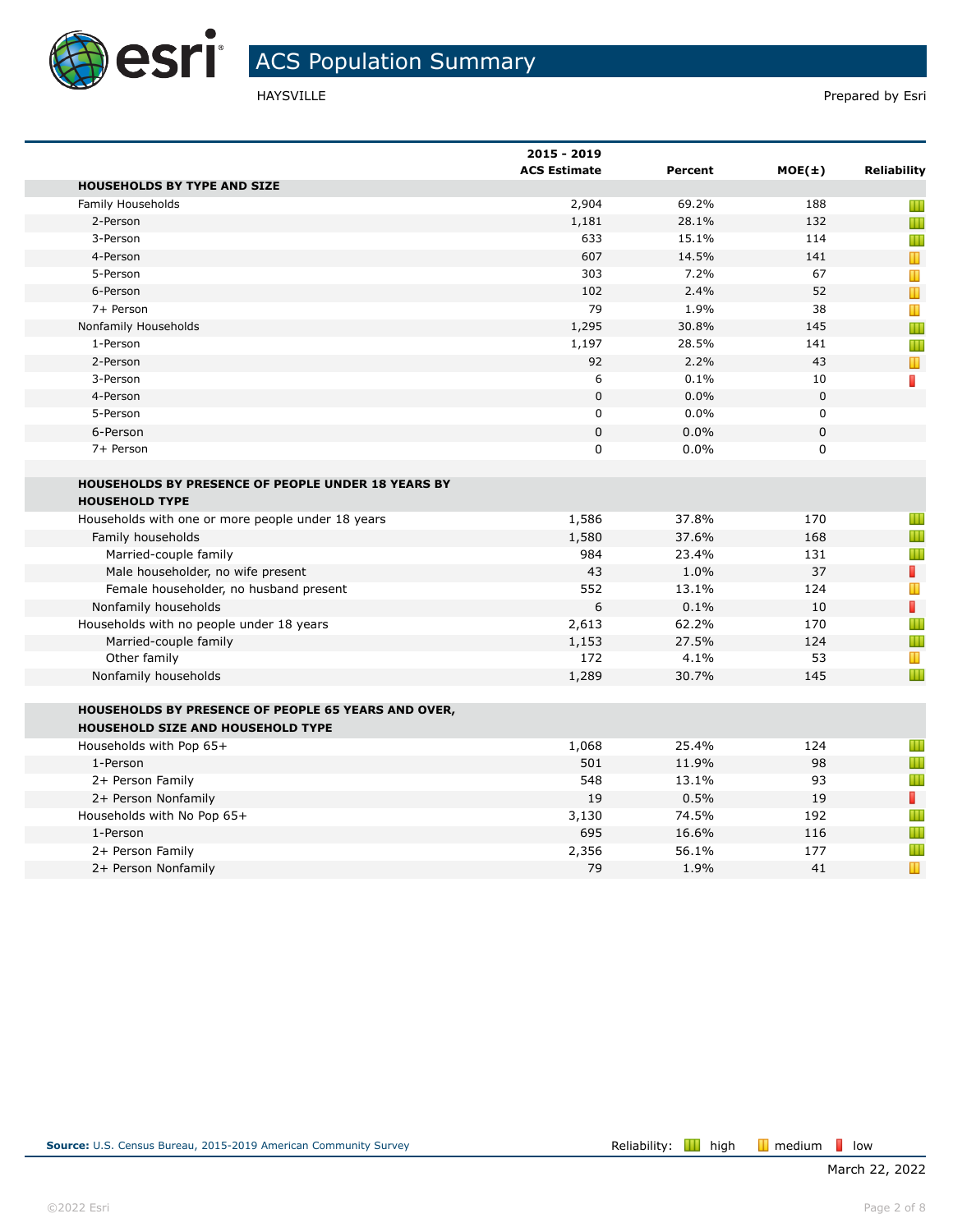

|                                                                                          | 2015 - 2019<br><b>ACS Estimate</b> | Percent | $MOE(\pm)$ | <b>Reliability</b>                                                                                    |
|------------------------------------------------------------------------------------------|------------------------------------|---------|------------|-------------------------------------------------------------------------------------------------------|
| <b>HOUSEHOLDS BY TYPE AND SIZE</b>                                                       |                                    |         |            |                                                                                                       |
| Family Households                                                                        | 2,904                              | 69.2%   | 188        | Ш                                                                                                     |
| 2-Person                                                                                 | 1,181                              | 28.1%   | 132        | Ш                                                                                                     |
| 3-Person                                                                                 | 633                                | 15.1%   | 114        | Ш                                                                                                     |
| 4-Person                                                                                 | 607                                | 14.5%   | 141        | T                                                                                                     |
| 5-Person                                                                                 | 303                                | 7.2%    | 67         | T                                                                                                     |
| 6-Person                                                                                 | 102                                | 2.4%    | 52         | $\mathbf{\mathbf{\mathbf{\mathbf{\mathbf{\mathbf{\mathbf{\mathbf{\mathbf{\mathbf{\mathbf{1}}}}}}}}}}$ |
| 7+ Person                                                                                | 79                                 | 1.9%    | 38         | Т                                                                                                     |
| Nonfamily Households                                                                     | 1,295                              | 30.8%   | 145        | Ш                                                                                                     |
| 1-Person                                                                                 | 1,197                              | 28.5%   | 141        | Ш                                                                                                     |
| 2-Person                                                                                 | 92                                 | 2.2%    | 43         | T                                                                                                     |
| 3-Person                                                                                 | 6                                  | 0.1%    | 10         | П                                                                                                     |
| 4-Person                                                                                 | $\mathbf 0$                        | 0.0%    | 0          |                                                                                                       |
| 5-Person                                                                                 | $\mathbf 0$                        | 0.0%    | 0          |                                                                                                       |
| 6-Person                                                                                 | $\mathbf 0$                        | 0.0%    | $\pmb{0}$  |                                                                                                       |
| 7+ Person                                                                                | $\mathbf 0$                        | 0.0%    | 0          |                                                                                                       |
| <b>HOUSEHOLDS BY PRESENCE OF PEOPLE UNDER 18 YEARS BY</b>                                |                                    |         |            |                                                                                                       |
| <b>HOUSEHOLD TYPE</b>                                                                    |                                    |         |            |                                                                                                       |
| Households with one or more people under 18 years                                        | 1,586                              | 37.8%   | 170        | Ш                                                                                                     |
| Family households                                                                        | 1,580                              | 37.6%   | 168        | Ш                                                                                                     |
| Married-couple family                                                                    | 984                                | 23.4%   | 131        | Ш                                                                                                     |
| Male householder, no wife present                                                        | 43                                 | 1.0%    | 37         | T                                                                                                     |
| Female householder, no husband present                                                   | 552                                | 13.1%   | 124        | $\mathbf T$                                                                                           |
| Nonfamily households                                                                     | 6                                  | 0.1%    | 10         | П                                                                                                     |
| Households with no people under 18 years                                                 | 2,613                              | 62.2%   | 170        | Ш                                                                                                     |
| Married-couple family                                                                    | 1,153                              | 27.5%   | 124        | Ш                                                                                                     |
| Other family                                                                             | 172                                | 4.1%    | 53         | $\mathbb T$                                                                                           |
| Nonfamily households                                                                     | 1,289                              | 30.7%   | 145        | Ш                                                                                                     |
| HOUSEHOLDS BY PRESENCE OF PEOPLE 65 YEARS AND OVER,<br>HOUSEHOLD SIZE AND HOUSEHOLD TYPE |                                    |         |            |                                                                                                       |
| Households with Pop 65+                                                                  | 1,068                              | 25.4%   | 124        | Ш                                                                                                     |
| 1-Person                                                                                 | 501                                | 11.9%   | 98         | Ш                                                                                                     |
| 2+ Person Family                                                                         | 548                                | 13.1%   | 93         | Ш                                                                                                     |
| 2+ Person Nonfamily                                                                      | 19                                 | 0.5%    | 19         | П                                                                                                     |
| Households with No Pop 65+                                                               | 3,130                              | 74.5%   | 192        | Ш                                                                                                     |
| 1-Person                                                                                 | 695                                | 16.6%   | 116        | Ш                                                                                                     |
| 2+ Person Family                                                                         | 2,356                              | 56.1%   | 177        | Ш                                                                                                     |
| 2+ Person Nonfamily                                                                      | 79                                 | 1.9%    | 41         | Т                                                                                                     |
|                                                                                          |                                    |         |            |                                                                                                       |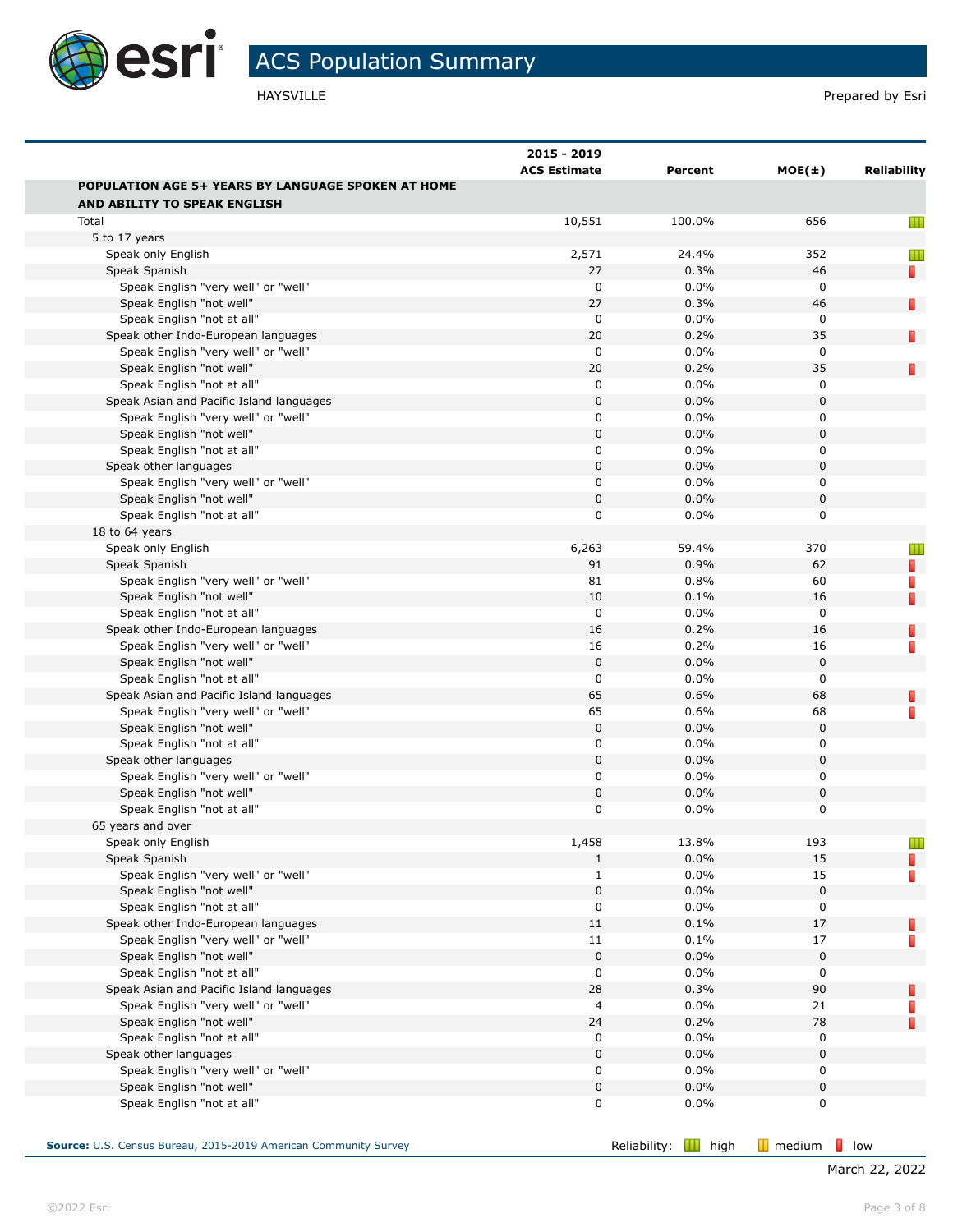

|                                                                 | 2015 - 2019         |              |                  |                    |
|-----------------------------------------------------------------|---------------------|--------------|------------------|--------------------|
|                                                                 | <b>ACS Estimate</b> | Percent      | $MOE(\pm)$       | <b>Reliability</b> |
| <b>POPULATION AGE 5+ YEARS BY LANGUAGE SPOKEN AT HOME</b>       |                     |              |                  |                    |
| AND ABILITY TO SPEAK ENGLISH                                    |                     |              |                  |                    |
| Total                                                           | 10,551              | 100.0%       | 656              | Ш                  |
| 5 to 17 years                                                   |                     |              |                  |                    |
| Speak only English                                              | 2,571               | 24.4%        | 352              | Ш                  |
| Speak Spanish                                                   | 27                  | 0.3%         | 46               | П                  |
| Speak English "very well" or "well"                             | 0                   | 0.0%         | 0                |                    |
| Speak English "not well"                                        | 27                  | 0.3%         | 46               | П                  |
| Speak English "not at all"                                      | 0                   | 0.0%         | 0                |                    |
| Speak other Indo-European languages                             | 20                  | 0.2%         | 35               | П                  |
| Speak English "very well" or "well"                             | 0                   | 0.0%         | $\mathbf 0$      |                    |
| Speak English "not well"                                        | 20                  | 0.2%         | 35               | П                  |
| Speak English "not at all"                                      | 0<br>$\bf 0$        | 0.0%<br>0.0% | 0<br>$\mathbf 0$ |                    |
| Speak Asian and Pacific Island languages                        |                     | 0.0%         |                  |                    |
| Speak English "very well" or "well"<br>Speak English "not well" | 0<br>0              | 0.0%         | 0<br>0           |                    |
| Speak English "not at all"                                      | 0                   | 0.0%         | 0                |                    |
| Speak other languages                                           | $\bf 0$             | 0.0%         | 0                |                    |
| Speak English "very well" or "well"                             | 0                   | 0.0%         | 0                |                    |
| Speak English "not well"                                        | 0                   | 0.0%         | 0                |                    |
| Speak English "not at all"                                      | 0                   | 0.0%         | 0                |                    |
| 18 to 64 years                                                  |                     |              |                  |                    |
| Speak only English                                              | 6,263               | 59.4%        | 370              |                    |
| Speak Spanish                                                   | 91                  | 0.9%         | 62               | Ш<br>п             |
| Speak English "very well" or "well"                             | 81                  | 0.8%         | 60               | П                  |
| Speak English "not well"                                        | 10                  | 0.1%         | 16               | П                  |
| Speak English "not at all"                                      | $\mathbf 0$         | 0.0%         | $\mathbf 0$      |                    |
| Speak other Indo-European languages                             | 16                  | 0.2%         | 16               | П                  |
| Speak English "very well" or "well"                             | 16                  | 0.2%         | 16               | П                  |
| Speak English "not well"                                        | $\bf 0$             | 0.0%         | $\mathbf 0$      |                    |
| Speak English "not at all"                                      | 0                   | 0.0%         | $\mathbf 0$      |                    |
| Speak Asian and Pacific Island languages                        | 65                  | 0.6%         | 68               | П                  |
| Speak English "very well" or "well"                             | 65                  | 0.6%         | 68               | П                  |
| Speak English "not well"                                        | $\bf 0$             | 0.0%         | 0                |                    |
| Speak English "not at all"                                      | 0                   | 0.0%         | 0                |                    |
| Speak other languages                                           | 0                   | 0.0%         | 0                |                    |
| Speak English "very well" or "well"                             | 0                   | 0.0%         | 0                |                    |
| Speak English "not well"                                        | $\mathbf 0$         | 0.0%         | 0                |                    |
| Speak English "not at all"                                      | 0                   | 0.0%         | 0                |                    |
| 65 years and over                                               |                     |              |                  |                    |
| Speak only English                                              | 1,458               | 13.8%        | 193              | ш                  |
| Speak Spanish                                                   | $\mathbf{1}$        | 0.0%         | 15               | П                  |
| Speak English "very well" or "well"                             | $\mathbf{1}$        | 0.0%         | 15               | П                  |
| Speak English "not well"                                        | $\pmb{0}$           | 0.0%         | 0                |                    |
| Speak English "not at all"                                      | 0                   | 0.0%         | 0                |                    |
| Speak other Indo-European languages                             | 11                  | 0.1%         | 17               | П                  |
| Speak English "very well" or "well"                             | 11                  | 0.1%         | 17               | П                  |
| Speak English "not well"                                        | $\mathbf 0$         | 0.0%         | $\mathbf 0$      |                    |
| Speak English "not at all"                                      | 0                   | 0.0%         | 0                |                    |
| Speak Asian and Pacific Island languages                        | 28                  | 0.3%         | 90               | П                  |
| Speak English "very well" or "well"                             | 4                   | 0.0%         | 21               | П                  |
| Speak English "not well"                                        | 24                  | 0.2%         | 78               | П                  |
| Speak English "not at all"                                      | 0                   | 0.0%         | 0                |                    |
| Speak other languages                                           | $\bf 0$             | 0.0%         | $\mathbf 0$      |                    |
| Speak English "very well" or "well"                             | 0                   | 0.0%         | 0                |                    |
| Speak English "not well"                                        | 0                   | 0.0%         | 0                |                    |
| Speak English "not at all"                                      | 0                   | 0.0%         | 0                |                    |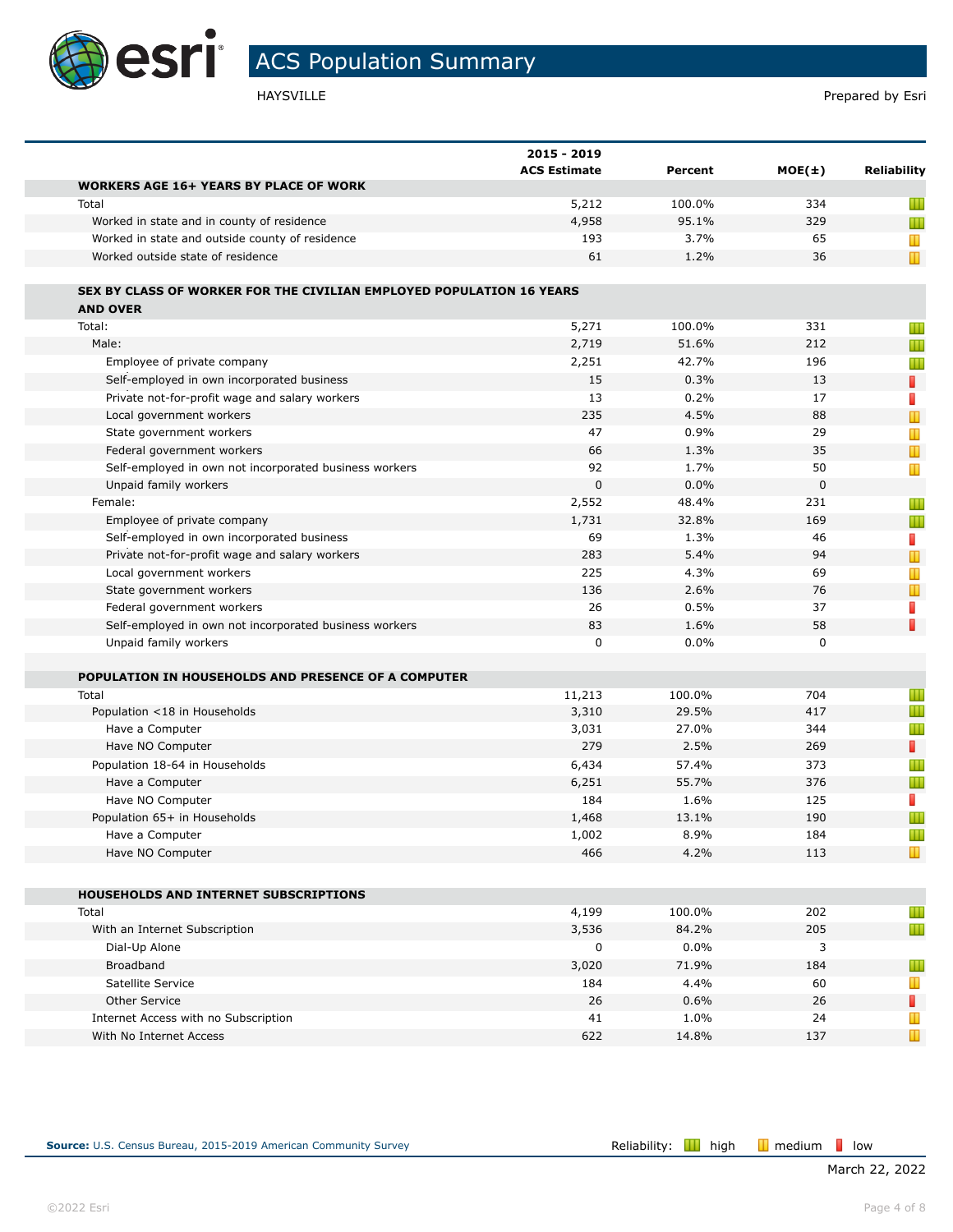

|                                                                                         | 2015 - 2019         |         |            |                    |
|-----------------------------------------------------------------------------------------|---------------------|---------|------------|--------------------|
|                                                                                         | <b>ACS Estimate</b> | Percent | $MOE(\pm)$ | <b>Reliability</b> |
| <b>WORKERS AGE 16+ YEARS BY PLACE OF WORK</b>                                           |                     |         |            |                    |
| Total                                                                                   | 5,212               | 100.0%  | 334        | Ш                  |
| Worked in state and in county of residence                                              | 4,958               | 95.1%   | 329        | Ш                  |
| Worked in state and outside county of residence                                         | 193                 | 3.7%    | 65         | T                  |
| Worked outside state of residence                                                       | 61                  | 1.2%    | 36         | T                  |
| SEX BY CLASS OF WORKER FOR THE CIVILIAN EMPLOYED POPULATION 16 YEARS<br><b>AND OVER</b> |                     |         |            |                    |
| Total:                                                                                  | 5,271               | 100.0%  | 331        |                    |
| Male:                                                                                   | 2,719               | 51.6%   | 212        | Ш                  |
| Employee of private company                                                             | 2,251               | 42.7%   | 196        | Ш                  |
|                                                                                         |                     |         |            | Ш                  |
| Self-employed in own incorporated business                                              | 15                  | 0.3%    | 13         | ı                  |
| Private not-for-profit wage and salary workers                                          | 13                  | 0.2%    | 17         | D                  |
| Local government workers                                                                | 235                 | 4.5%    | 88         | $\mathbf T$        |
| State government workers                                                                | 47                  | 0.9%    | 29         | Ш                  |
| Federal government workers                                                              | 66                  | 1.3%    | 35         | T                  |
| Self-employed in own not incorporated business workers                                  | 92                  | 1.7%    | 50         | T                  |
| Unpaid family workers                                                                   | $\mathbf 0$         | 0.0%    | 0          |                    |
| Female:                                                                                 | 2,552               | 48.4%   | 231        | Ш                  |
| Employee of private company                                                             | 1,731               | 32.8%   | 169        | Ш                  |
| Self-employed in own incorporated business                                              | 69                  | 1.3%    | 46         | I.                 |
| Private not-for-profit wage and salary workers                                          | 283                 | 5.4%    | 94         | $\mathbf T$        |
| Local government workers                                                                | 225                 | 4.3%    | 69         | Ш                  |
| State government workers                                                                | 136                 | 2.6%    | 76         | T                  |
| Federal government workers                                                              | 26                  | 0.5%    | 37         | П                  |
| Self-employed in own not incorporated business workers                                  | 83                  | 1.6%    | 58         | D                  |
| Unpaid family workers                                                                   | 0                   | 0.0%    | 0          |                    |
| POPULATION IN HOUSEHOLDS AND PRESENCE OF A COMPUTER                                     |                     |         |            |                    |
| Total                                                                                   | 11,213              | 100.0%  | 704        | Ш                  |
| Population <18 in Households                                                            | 3,310               | 29.5%   | 417        | Ш                  |
| Have a Computer                                                                         | 3,031               | 27.0%   | 344        | Ш                  |
| Have NO Computer                                                                        | 279                 | 2.5%    | 269        | П                  |
| Population 18-64 in Households                                                          | 6,434               | 57.4%   | 373        | Ш                  |
| Have a Computer                                                                         | 6,251               | 55.7%   | 376        | Ш                  |
| Have NO Computer                                                                        | 184                 | 1.6%    | 125        | D                  |
| Population 65+ in Households                                                            | 1,468               | 13.1%   | 190        | Ш                  |
| Have a Computer                                                                         | 1,002               | 8.9%    | 184        | Ш                  |
| Have NO Computer                                                                        | 466                 | 4.2%    | 113        | T                  |
| HOUSEHOLDS AND INTERNET SUBSCRIPTIONS                                                   |                     |         |            |                    |
|                                                                                         | 4,199               | 100.0%  | 202        | Ш                  |
| Total                                                                                   |                     |         |            |                    |
| With an Internet Subscription                                                           | 3,536               | 84.2%   | 205        | Ш                  |
| Dial-Up Alone                                                                           | $\pmb{0}$           | $0.0\%$ | 3          |                    |
| Broadband                                                                               | 3,020               | 71.9%   | 184        | Ш                  |
| Satellite Service                                                                       | 184                 | 4.4%    | 60         | Ш                  |
| Other Service                                                                           | 26                  | 0.6%    | 26         | П                  |
| Internet Access with no Subscription                                                    | 41                  | 1.0%    | 24         | Ш                  |
| With No Internet Access                                                                 | 622                 | 14.8%   | 137        | Ш                  |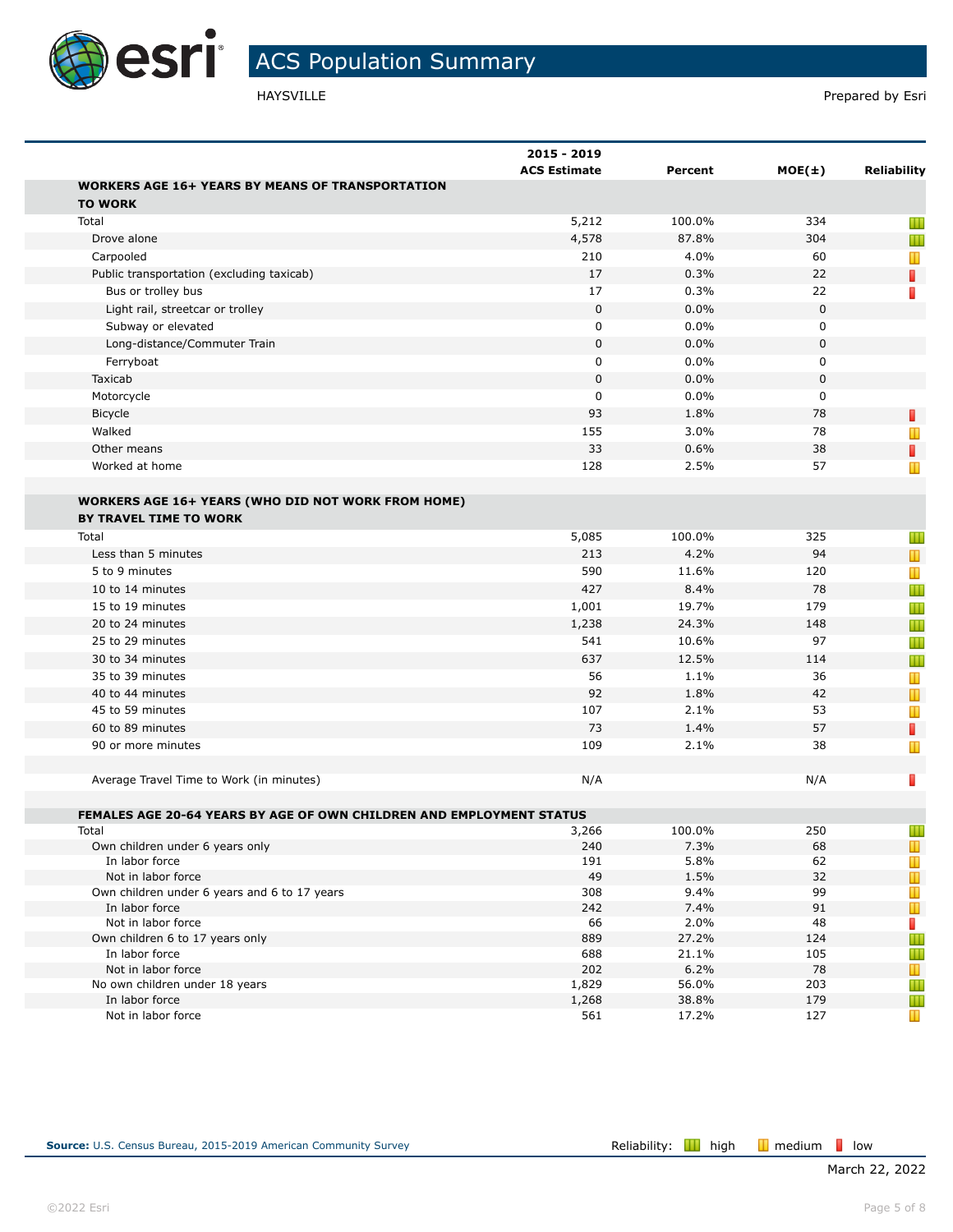

|                                                                               | 2015 - 2019         |                |            |                    |
|-------------------------------------------------------------------------------|---------------------|----------------|------------|--------------------|
|                                                                               | <b>ACS Estimate</b> | Percent        | $MOE(\pm)$ | <b>Reliability</b> |
| <b>WORKERS AGE 16+ YEARS BY MEANS OF TRANSPORTATION</b><br><b>TO WORK</b>     |                     |                |            |                    |
| Total                                                                         | 5,212               | 100.0%         | 334        | Ш                  |
| Drove alone                                                                   | 4,578               | 87.8%          | 304        | Ш                  |
| Carpooled                                                                     | 210                 | 4.0%           | 60         | Т                  |
| Public transportation (excluding taxicab)                                     | 17                  | 0.3%           | 22         | П                  |
| Bus or trolley bus                                                            | 17                  | 0.3%           | 22         | П                  |
| Light rail, streetcar or trolley                                              | 0                   | 0.0%           | 0          |                    |
| Subway or elevated                                                            | 0                   | 0.0%           | 0          |                    |
| Long-distance/Commuter Train                                                  | $\mathbf 0$         | 0.0%           | 0          |                    |
| Ferryboat                                                                     | 0                   | 0.0%           | 0          |                    |
| Taxicab                                                                       | $\mathbf 0$         | 0.0%           | 0          |                    |
| Motorcycle                                                                    | $\mathbf 0$         | 0.0%           | 0          |                    |
| Bicycle                                                                       | 93                  | 1.8%           | 78         | П                  |
| Walked                                                                        | 155                 | 3.0%           | 78         | Т                  |
| Other means                                                                   | 33                  | 0.6%           | 38         | П                  |
| Worked at home                                                                | 128                 | 2.5%           | 57         | Ш                  |
|                                                                               |                     |                |            |                    |
| <b>WORKERS AGE 16+ YEARS (WHO DID NOT WORK FROM HOME)</b>                     |                     |                |            |                    |
| <b>BY TRAVEL TIME TO WORK</b>                                                 |                     |                |            |                    |
| Total                                                                         | 5,085               | 100.0%         | 325        | Ш                  |
| Less than 5 minutes                                                           | 213                 | 4.2%           | 94         | Ш                  |
| 5 to 9 minutes                                                                | 590                 | 11.6%          | 120        | Т                  |
| 10 to 14 minutes                                                              | 427                 | 8.4%           | 78         | Ш                  |
| 15 to 19 minutes                                                              | 1,001               | 19.7%          | 179        |                    |
| 20 to 24 minutes                                                              |                     | 24.3%          | 148        | Ш                  |
| 25 to 29 minutes                                                              | 1,238<br>541        | 10.6%          | 97         | Ш                  |
|                                                                               |                     |                |            | Ш                  |
| 30 to 34 minutes                                                              | 637                 | 12.5%          | 114        | Ш                  |
| 35 to 39 minutes                                                              | 56                  | 1.1%           | 36         | Т                  |
| 40 to 44 minutes                                                              | 92                  | 1.8%           | 42         | Ш                  |
| 45 to 59 minutes                                                              | 107                 | 2.1%           | 53         | Т                  |
| 60 to 89 minutes                                                              | 73                  | 1.4%           | 57         | П                  |
| 90 or more minutes                                                            | 109                 | 2.1%           | 38         | Ш                  |
|                                                                               |                     |                |            |                    |
| Average Travel Time to Work (in minutes)                                      | N/A                 |                | N/A        | Γ                  |
|                                                                               |                     |                |            |                    |
| FEMALES AGE 20-64 YEARS BY AGE OF OWN CHILDREN AND EMPLOYMENT STATUS<br>Total | 3,266               | 100.0%         | 250        |                    |
| Own children under 6 years only                                               | 240                 | 7.3%           | 68         | Ш<br>Ш             |
| In labor force                                                                | 191                 | 5.8%           | 62         | Т                  |
| Not in labor force                                                            | 49                  | 1.5%           | 32         | T                  |
| Own children under 6 years and 6 to 17 years                                  | 308                 | 9.4%           | 99         | T                  |
| In labor force                                                                | 242                 | 7.4%           | 91         | $\mathbb T$        |
| Not in labor force                                                            | 66                  | 2.0%           | 48         | T                  |
| Own children 6 to 17 years only                                               | 889                 | 27.2%          | 124        | Ш                  |
| In labor force                                                                | 688                 | 21.1%          | 105        | Ш                  |
| Not in labor force                                                            | 202                 | 6.2%           | 78         | $\mathbf{r}$       |
| No own children under 18 years                                                | 1,829               | 56.0%          | 203        | Ш                  |
| In labor force<br>Not in labor force                                          | 1,268<br>561        | 38.8%<br>17.2% | 179<br>127 | Ш                  |
|                                                                               |                     |                |            | T                  |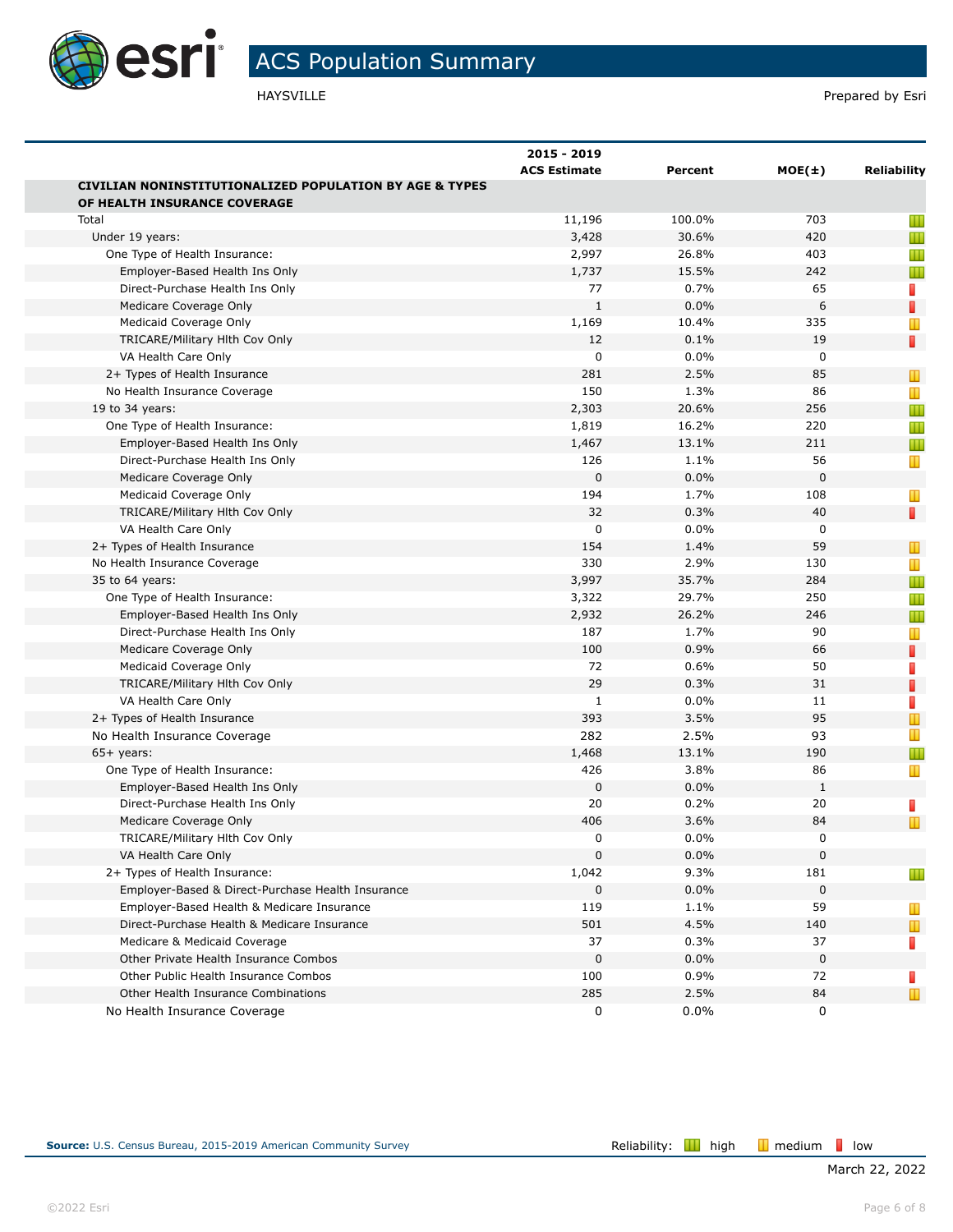

|                                                                    | 2015 - 2019<br><b>ACS Estimate</b> | Percent | $MOE(\pm)$  | <b>Reliability</b>             |
|--------------------------------------------------------------------|------------------------------------|---------|-------------|--------------------------------|
| <b>CIVILIAN NONINSTITUTIONALIZED POPULATION BY AGE &amp; TYPES</b> |                                    |         |             |                                |
| OF HEALTH INSURANCE COVERAGE                                       |                                    |         |             |                                |
| Total                                                              | 11,196                             | 100.0%  | 703         | Ш                              |
| Under 19 years:                                                    | 3,428                              | 30.6%   | 420         | Ш                              |
| One Type of Health Insurance:                                      | 2,997                              | 26.8%   | 403         | Ш                              |
| Employer-Based Health Ins Only                                     | 1,737                              | 15.5%   | 242         | Ш                              |
| Direct-Purchase Health Ins Only                                    | 77                                 | 0.7%    | 65          | T,                             |
| Medicare Coverage Only                                             | $\mathbf{1}$                       | 0.0%    | 6           | П                              |
| Medicaid Coverage Only                                             | 1,169                              | 10.4%   | 335         | Ш                              |
| TRICARE/Military Hith Cov Only                                     | 12                                 | 0.1%    | 19          | П                              |
| VA Health Care Only                                                | 0                                  | 0.0%    | 0           |                                |
| 2+ Types of Health Insurance                                       | 281                                | 2.5%    | 85          | Т                              |
| No Health Insurance Coverage                                       | 150                                | 1.3%    | 86          | Ш                              |
| 19 to 34 years:                                                    | 2,303                              | 20.6%   | 256         | Ш                              |
| One Type of Health Insurance:                                      | 1,819                              | 16.2%   | 220         | Ш                              |
| Employer-Based Health Ins Only                                     | 1,467                              | 13.1%   | 211         | Ш                              |
| Direct-Purchase Health Ins Only                                    | 126                                | 1.1%    | 56          | T                              |
| Medicare Coverage Only                                             | $\mathbf{0}$                       | 0.0%    | $\mathbf 0$ |                                |
| Medicaid Coverage Only                                             | 194                                | 1.7%    | 108         | Ш                              |
| TRICARE/Military Hlth Cov Only                                     | 32                                 | 0.3%    | 40          | П                              |
| VA Health Care Only                                                | 0                                  | $0.0\%$ | 0           |                                |
| 2+ Types of Health Insurance                                       | 154                                | 1.4%    | 59          | T                              |
| No Health Insurance Coverage                                       | 330                                | 2.9%    | 130         | T                              |
| 35 to 64 years:                                                    | 3,997                              | 35.7%   | 284         | Ш                              |
| One Type of Health Insurance:                                      | 3,322                              | 29.7%   | 250         | Ш                              |
| Employer-Based Health Ins Only                                     | 2,932                              | 26.2%   | 246         | Ш                              |
| Direct-Purchase Health Ins Only                                    | 187                                | 1.7%    | 90          | T                              |
| Medicare Coverage Only                                             | 100                                | 0.9%    | 66          | П                              |
| Medicaid Coverage Only                                             | 72                                 | 0.6%    | 50          | П                              |
| TRICARE/Military Hith Cov Only                                     | 29                                 | 0.3%    | 31          | П                              |
| VA Health Care Only                                                | 1                                  | 0.0%    | 11          | П                              |
| 2+ Types of Health Insurance                                       | 393                                | 3.5%    | 95          | $\mathbf{r}$                   |
| No Health Insurance Coverage                                       | 282                                | 2.5%    | 93          | T                              |
| $65+$ years:                                                       | 1,468                              | 13.1%   | 190         | Ш                              |
| One Type of Health Insurance:                                      | 426                                | 3.8%    | 86          | T                              |
| Employer-Based Health Ins Only                                     | $\mathbf 0$                        | 0.0%    | 1           |                                |
| Direct-Purchase Health Ins Only                                    | 20                                 | 0.2%    | 20          | T,                             |
| Medicare Coverage Only                                             | 406                                | 3.6%    | 84          | $\mathbf{\mathbf{\mathsf{u}}}$ |
| TRICARE/Military Hith Cov Only                                     | 0                                  | 0.0%    | $\Omega$    |                                |
| VA Health Care Only                                                | $\mathbf 0$                        | $0.0\%$ | $\mathbf 0$ |                                |
| 2+ Types of Health Insurance:                                      | 1,042                              | 9.3%    | 181         | Ш                              |
| Employer-Based & Direct-Purchase Health Insurance                  | 0                                  | 0.0%    | 0           |                                |
| Employer-Based Health & Medicare Insurance                         | 119                                | 1.1%    | 59          | Ш                              |
| Direct-Purchase Health & Medicare Insurance                        | 501                                | 4.5%    | 140         | $\mathbf{L}$                   |
| Medicare & Medicaid Coverage                                       | 37                                 | 0.3%    | 37          | П                              |
| Other Private Health Insurance Combos                              | $\mathbf 0$                        | $0.0\%$ | 0           |                                |
| Other Public Health Insurance Combos                               | 100                                | 0.9%    | 72          | ш                              |
| Other Health Insurance Combinations                                | 285                                | 2.5%    | 84          | Ш                              |
| No Health Insurance Coverage                                       | 0                                  | 0.0%    | 0           |                                |
|                                                                    |                                    |         |             |                                |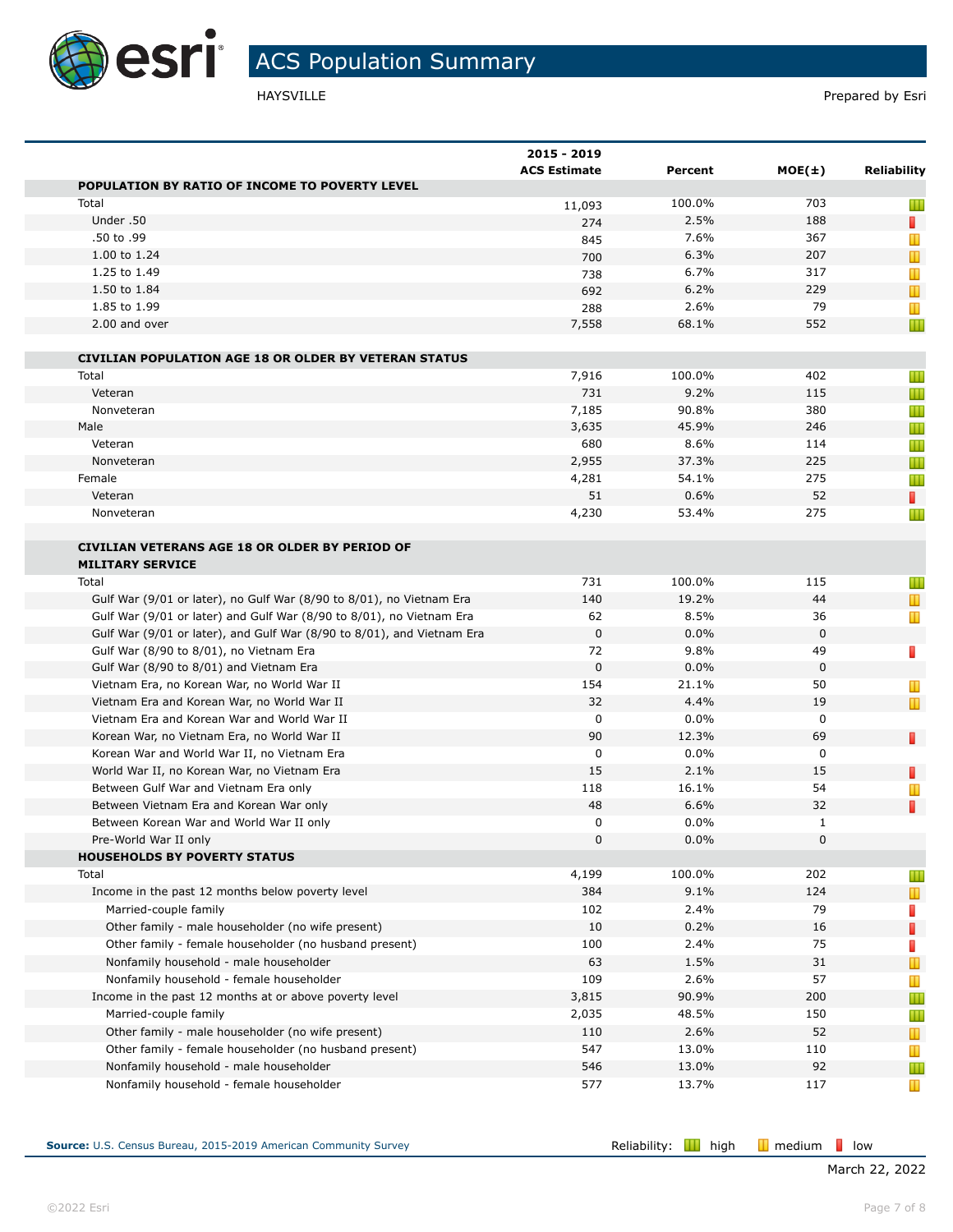

|                                                                        | 2015 - 2019<br><b>ACS Estimate</b> | Percent | $MOE(\pm)$   | Reliability  |
|------------------------------------------------------------------------|------------------------------------|---------|--------------|--------------|
| POPULATION BY RATIO OF INCOME TO POVERTY LEVEL                         |                                    |         |              |              |
| Total                                                                  | 11,093                             | 100.0%  | 703          | Ш            |
| Under .50                                                              | 274                                | 2.5%    | 188          | T.           |
| .50 to .99                                                             | 845                                | 7.6%    | 367          | Ш            |
| 1.00 to 1.24                                                           | 700                                | 6.3%    | 207          | T            |
| 1.25 to 1.49                                                           | 738                                | 6.7%    | 317          | Ш            |
| 1.50 to 1.84                                                           | 692                                | 6.2%    | 229          | $\mathbb T$  |
| 1.85 to 1.99                                                           | 288                                | 2.6%    | 79           | Ш            |
| 2.00 and over                                                          | 7,558                              | 68.1%   | 552          | Ш            |
| <b>CIVILIAN POPULATION AGE 18 OR OLDER BY VETERAN STATUS</b>           |                                    |         |              |              |
| Total                                                                  | 7,916                              | 100.0%  | 402          | Ш            |
| Veteran                                                                | 731                                | 9.2%    | 115          | Ш            |
| Nonveteran                                                             | 7,185                              | 90.8%   | 380          | Ш            |
| Male                                                                   | 3,635                              | 45.9%   | 246          | Ш            |
| Veteran                                                                | 680                                | 8.6%    | 114          | Ш            |
| Nonveteran                                                             | 2,955                              | 37.3%   | 225          | Ш            |
| Female                                                                 | 4,281                              | 54.1%   | 275          | Ш            |
| Veteran                                                                | 51                                 | 0.6%    | 52           | П            |
| Nonveteran                                                             | 4,230                              | 53.4%   | 275          | Ш            |
| <b>CIVILIAN VETERANS AGE 18 OR OLDER BY PERIOD OF</b>                  |                                    |         |              |              |
| <b>MILITARY SERVICE</b>                                                |                                    |         |              |              |
| Total                                                                  | 731                                | 100.0%  | 115          | Ш            |
| Gulf War (9/01 or later), no Gulf War (8/90 to 8/01), no Vietnam Era   | 140                                | 19.2%   | 44           | $\mathbf T$  |
| Gulf War (9/01 or later) and Gulf War (8/90 to 8/01), no Vietnam Era   | 62                                 | 8.5%    | 36           | Ш            |
| Gulf War (9/01 or later), and Gulf War (8/90 to 8/01), and Vietnam Era | $\mathbf 0$                        | 0.0%    | 0            |              |
| Gulf War (8/90 to 8/01), no Vietnam Era                                | 72                                 | 9.8%    | 49           | П            |
| Gulf War (8/90 to 8/01) and Vietnam Era                                | $\mathbf 0$                        | 0.0%    | 0            |              |
| Vietnam Era, no Korean War, no World War II                            | 154                                | 21.1%   | 50           | Ш            |
| Vietnam Era and Korean War, no World War II                            | 32                                 | 4.4%    | 19           | T            |
| Vietnam Era and Korean War and World War II                            | 0                                  | 0.0%    | 0            |              |
| Korean War, no Vietnam Era, no World War II                            | 90                                 | 12.3%   | 69           | П            |
| Korean War and World War II, no Vietnam Era                            | 0                                  | $0.0\%$ | 0            |              |
| World War II, no Korean War, no Vietnam Era                            | 15                                 | 2.1%    | 15           | П            |
| Between Gulf War and Vietnam Era only                                  | 118                                | 16.1%   | 54           | Ш            |
| Between Vietnam Era and Korean War only                                | 48                                 | 6.6%    | 32           | П            |
| Between Korean War and World War II only                               | 0                                  | 0.0%    | $\mathbf{1}$ |              |
| Pre-World War II only                                                  | 0                                  | $0.0\%$ | 0            |              |
| <b>HOUSEHOLDS BY POVERTY STATUS</b>                                    |                                    |         |              |              |
| Total                                                                  | 4,199                              | 100.0%  | 202          | Ш            |
| Income in the past 12 months below poverty level                       | 384                                | 9.1%    | 124          | T            |
| Married-couple family                                                  | 102                                | 2.4%    | 79           | П            |
| Other family - male householder (no wife present)                      | 10                                 | 0.2%    | 16           | П            |
| Other family - female householder (no husband present)                 | 100                                | 2.4%    | 75           |              |
| Nonfamily household - male householder                                 | 63                                 | 1.5%    | 31           | ш<br>Ш       |
| Nonfamily household - female householder                               | 109                                | 2.6%    | 57           |              |
| Income in the past 12 months at or above poverty level                 | 3,815                              | 90.9%   | 200          | T            |
|                                                                        |                                    | 48.5%   |              | Ш            |
| Married-couple family                                                  | 2,035                              | 2.6%    | 150          | Ш            |
| Other family - male householder (no wife present)                      | 110<br>547                         | 13.0%   | 52<br>110    | $\mathbf{T}$ |
| Other family - female householder (no husband present)                 |                                    |         |              | T            |
| Nonfamily household - male householder                                 | 546                                | 13.0%   | 92           | Ш            |
| Nonfamily household - female householder                               | 577                                | 13.7%   | 117          | T            |